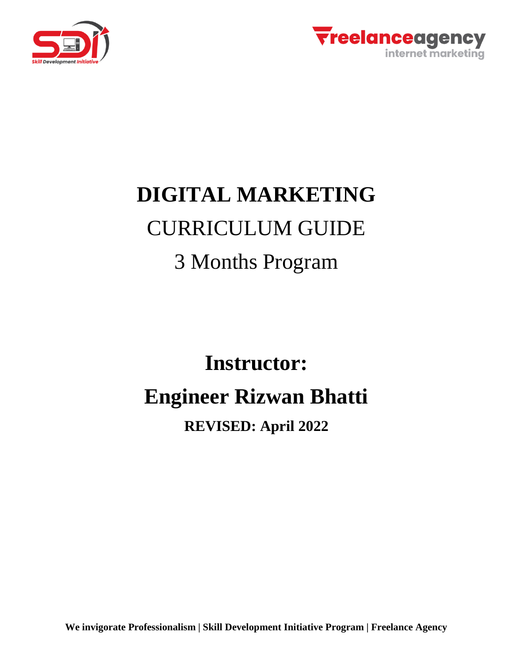



# **DIGITAL MARKETING** CURRICULUM GUIDE 3 Months Program

# **Instructor: Engineer Rizwan Bhatti**

# **REVISED: April 2022**

**We invigorate Professionalism | Skill Development Initiative Program | Freelance Agency**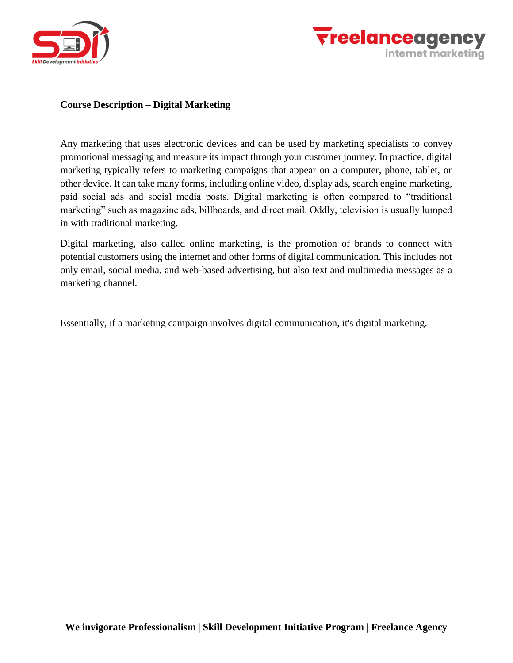



#### **Course Description – Digital Marketing**

Any marketing that uses electronic devices and can be used by marketing specialists to convey promotional messaging and measure its impact through your customer journey. In practice, digital marketing typically refers to marketing campaigns that appear on a computer, phone, tablet, or other device. It can take many forms, including online video, display ads, search engine marketing, paid social ads and social media posts. Digital marketing is often compared to "traditional marketing" such as magazine ads, billboards, and direct mail. Oddly, television is usually lumped in with traditional marketing.

Digital marketing, also called online marketing, is the promotion of brands to connect with potential customers using the internet and other forms of digital communication. This includes not only email, social media, and web-based advertising, but also text and multimedia messages as a marketing channel.

Essentially, if a marketing campaign involves digital communication, it's digital marketing.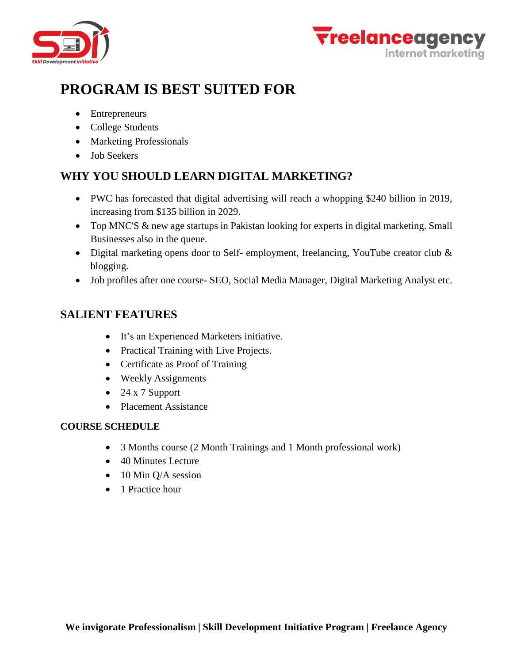



# **PROGRAM IS BEST SUITED FOR**

- Entrepreneurs
- College Students
- Marketing Professionals
- Job Seekers

# **WHY YOU SHOULD LEARN DIGITAL MARKETING?**

- PWC has forecasted that digital advertising will reach a whopping \$240 billion in 2019, increasing from \$135 billion in 2029.
- Top MNC'S & new age startups in Pakistan looking for experts in digital marketing. Small Businesses also in the queue.
- Digital marketing opens door to Self- employment, freelancing, YouTube creator club & blogging.
- Job profiles after one course- SEO, Social Media Manager, Digital Marketing Analyst etc.

### **SALIENT FEATURES**

- It's an Experienced Marketers initiative.
- Practical Training with Live Projects.
- Certificate as Proof of Training
- Weekly Assignments
- $\bullet$  24 x 7 Support
- Placement Assistance

#### **COURSE SCHEDULE**

- 3 Months course (2 Month Trainings and 1 Month professional work)
- 40 Minutes Lecture
- $\bullet$  10 Min Q/A session
- 1 Practice hour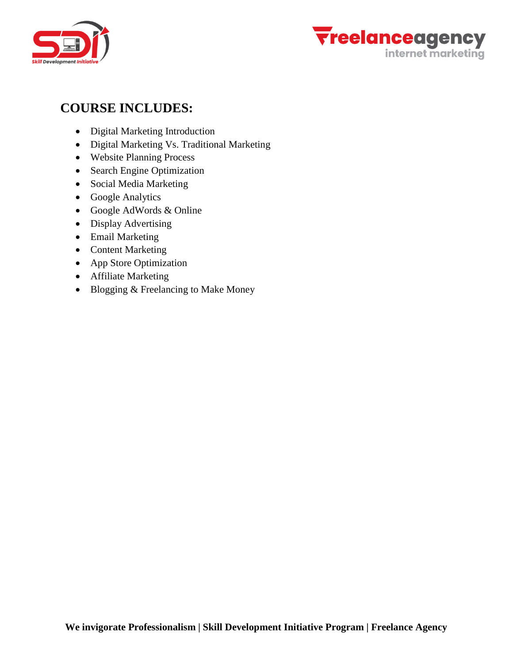



# **COURSE INCLUDES:**

- Digital Marketing Introduction
- Digital Marketing Vs. Traditional Marketing
- Website Planning Process
- Search Engine Optimization
- Social Media Marketing
- Google Analytics
- Google AdWords & Online
- Display Advertising
- Email Marketing
- Content Marketing
- App Store Optimization
- Affiliate Marketing
- Blogging & Freelancing to Make Money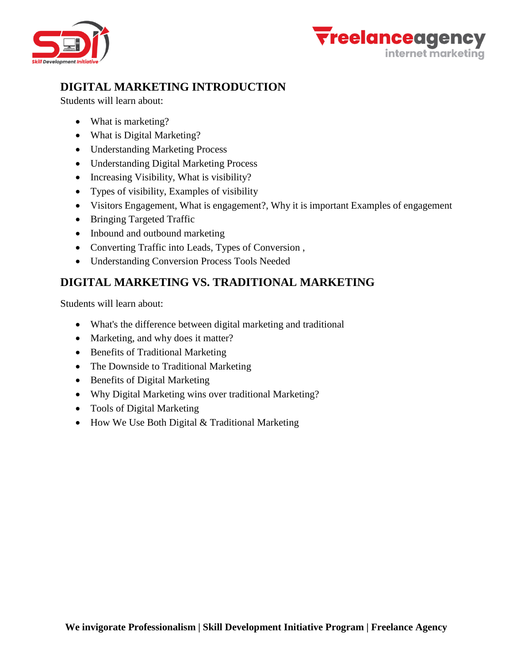



# **DIGITAL MARKETING INTRODUCTION**

Students will learn about:

- What is marketing?
- What is Digital Marketing?
- Understanding Marketing Process
- Understanding Digital Marketing Process
- Increasing Visibility, What is visibility?
- Types of visibility, Examples of visibility
- Visitors Engagement, What is engagement?, Why it is important Examples of engagement
- Bringing Targeted Traffic
- Inbound and outbound marketing
- Converting Traffic into Leads, Types of Conversion,
- Understanding Conversion Process Tools Needed

# **DIGITAL MARKETING VS. TRADITIONAL MARKETING**

Students will learn about:

- What's the difference between digital marketing and traditional
- Marketing, and why does it matter?
- Benefits of Traditional Marketing
- The Downside to Traditional Marketing
- Benefits of Digital Marketing
- Why Digital Marketing wins over traditional Marketing?
- Tools of Digital Marketing
- How We Use Both Digital & Traditional Marketing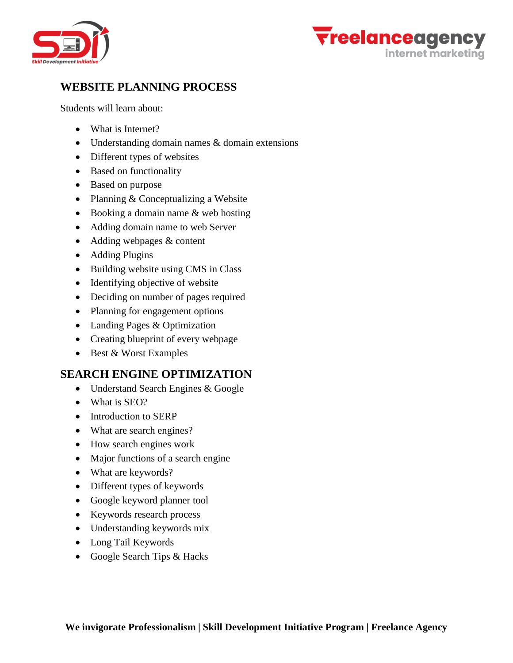



# **WEBSITE PLANNING PROCESS**

Students will learn about:

- What is Internet?
- Understanding domain names & domain extensions
- Different types of websites
- Based on functionality
- Based on purpose
- Planning & Conceptualizing a Website
- $\bullet$  Booking a domain name & web hosting
- Adding domain name to web Server
- Adding webpages & content
- Adding Plugins
- Building website using CMS in Class
- Identifying objective of website
- Deciding on number of pages required
- Planning for engagement options
- Landing Pages & Optimization
- Creating blueprint of every webpage
- Best & Worst Examples

#### **SEARCH ENGINE OPTIMIZATION**

- Understand Search Engines & Google
- What is SEO?
- Introduction to SERP
- What are search engines?
- How search engines work
- Major functions of a search engine
- What are keywords?
- Different types of keywords
- Google keyword planner tool
- Keywords research process
- Understanding keywords mix
- Long Tail Keywords
- Google Search Tips & Hacks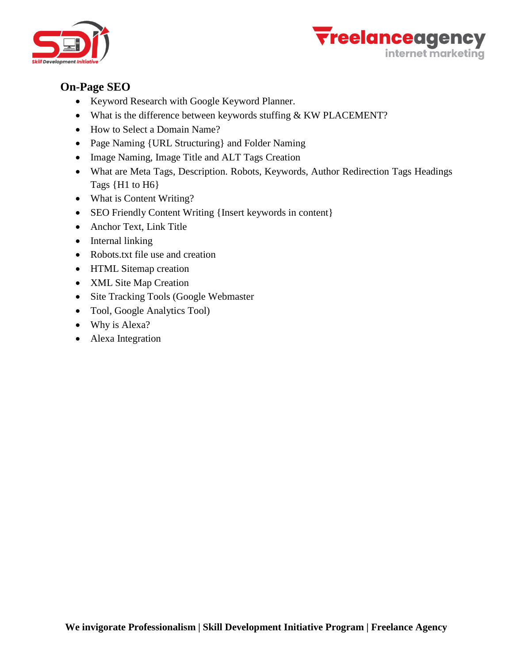



#### **On-Page SEO**

- Keyword Research with Google Keyword Planner.
- $\bullet$  What is the difference between keywords stuffing & KW PLACEMENT?
- How to Select a Domain Name?
- Page Naming {URL Structuring} and Folder Naming
- Image Naming, Image Title and ALT Tags Creation
- What are Meta Tags, Description. Robots, Keywords, Author Redirection Tags Headings Tags {H1 to H6}
- What is Content Writing?
- SEO Friendly Content Writing {Insert keywords in content}
- Anchor Text, Link Title
- Internal linking
- Robots.txt file use and creation
- HTML Sitemap creation
- XML Site Map Creation
- Site Tracking Tools (Google Webmaster
- Tool, Google Analytics Tool)
- Why is Alexa?
- Alexa Integration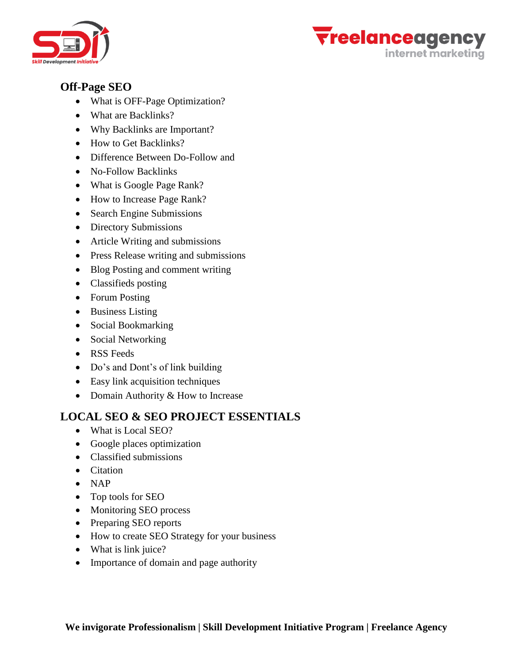



#### **Off-Page SEO**

- What is OFF-Page Optimization?
- What are Backlinks?
- Why Backlinks are Important?
- How to Get Backlinks?
- Difference Between Do-Follow and
- No-Follow Backlinks
- What is Google Page Rank?
- How to Increase Page Rank?
- Search Engine Submissions
- Directory Submissions
- Article Writing and submissions
- Press Release writing and submissions
- Blog Posting and comment writing
- Classifieds posting
- Forum Posting
- Business Listing
- Social Bookmarking
- Social Networking
- RSS Feeds
- Do's and Dont's of link building
- Easy link acquisition techniques
- Domain Authority & How to Increase

#### **LOCAL SEO & SEO PROJECT ESSENTIALS**

- What is Local SEO?
- Google places optimization
- Classified submissions
- Citation
- $\bullet$  NAP
- Top tools for SEO
- Monitoring SEO process
- Preparing SEO reports
- How to create SEO Strategy for your business
- What is link juice?
- Importance of domain and page authority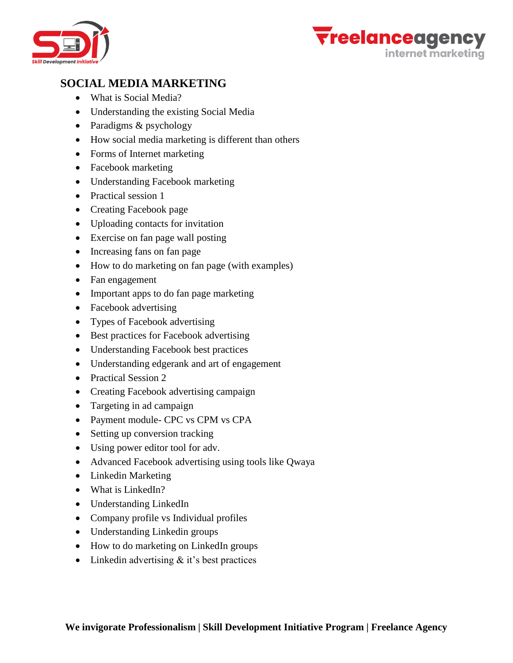



# **SOCIAL MEDIA MARKETING**

- What is Social Media?
- Understanding the existing Social Media
- Paradigms & psychology
- How social media marketing is different than others
- Forms of Internet marketing
- Facebook marketing
- Understanding Facebook marketing
- Practical session 1
- Creating Facebook page
- Uploading contacts for invitation
- Exercise on fan page wall posting
- Increasing fans on fan page
- How to do marketing on fan page (with examples)
- Fan engagement
- Important apps to do fan page marketing
- Facebook advertising
- Types of Facebook advertising
- Best practices for Facebook advertising
- Understanding Facebook best practices
- Understanding edgerank and art of engagement
- Practical Session 2
- Creating Facebook advertising campaign
- Targeting in ad campaign
- Payment module- CPC vs CPM vs CPA
- Setting up conversion tracking
- Using power editor tool for adv.
- Advanced Facebook advertising using tools like Qwaya
- Linkedin Marketing
- What is LinkedIn?
- Understanding LinkedIn
- Company profile vs Individual profiles
- Understanding Linkedin groups
- How to do marketing on LinkedIn groups
- Linkedin advertising  $&$  it's best practices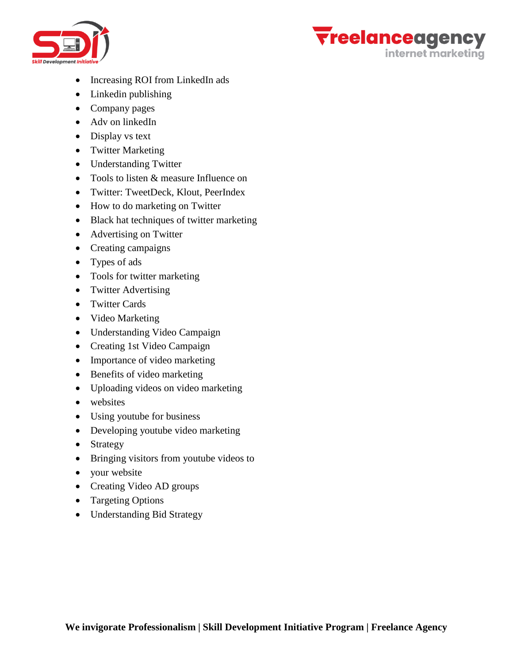



- Increasing ROI from LinkedIn ads
- Linkedin publishing
- Company pages
- Adv on linkedIn
- Display vs text
- Twitter Marketing
- Understanding Twitter
- Tools to listen & measure Influence on
- Twitter: TweetDeck, Klout, PeerIndex
- How to do marketing on Twitter
- Black hat techniques of twitter marketing
- Advertising on Twitter
- Creating campaigns
- Types of ads
- Tools for twitter marketing
- Twitter Advertising
- Twitter Cards
- Video Marketing
- Understanding Video Campaign
- Creating 1st Video Campaign
- Importance of video marketing
- Benefits of video marketing
- Uploading videos on video marketing
- websites
- Using youtube for business
- Developing youtube video marketing
- Strategy
- Bringing visitors from youtube videos to
- your website
- Creating Video AD groups
- Targeting Options
- Understanding Bid Strategy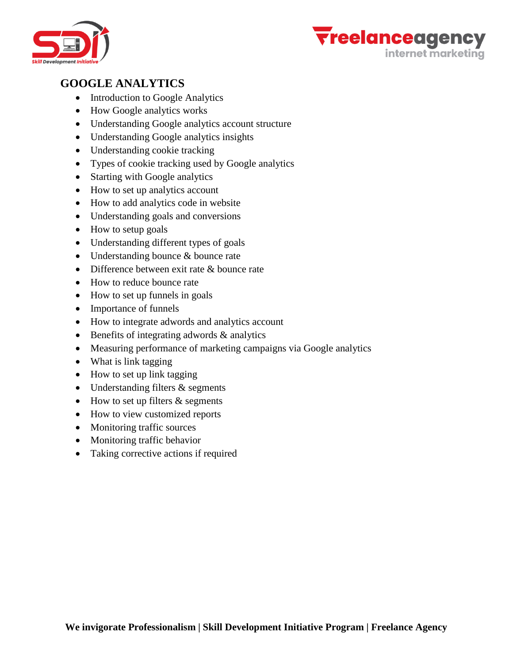



# **GOOGLE ANALYTICS**

- Introduction to Google Analytics
- How Google analytics works
- Understanding Google analytics account structure
- Understanding Google analytics insights
- Understanding cookie tracking
- Types of cookie tracking used by Google analytics
- Starting with Google analytics
- How to set up analytics account
- How to add analytics code in website
- Understanding goals and conversions
- How to setup goals
- Understanding different types of goals
- Understanding bounce & bounce rate
- Difference between exit rate & bounce rate
- How to reduce bounce rate
- How to set up funnels in goals
- Importance of funnels
- How to integrate adwords and analytics account
- $\bullet$  Benefits of integrating adwords  $\&$  analytics
- Measuring performance of marketing campaigns via Google analytics
- What is link tagging
- How to set up link tagging
- Understanding filters & segments
- $\bullet$  How to set up filters & segments
- How to view customized reports
- Monitoring traffic sources
- Monitoring traffic behavior
- Taking corrective actions if required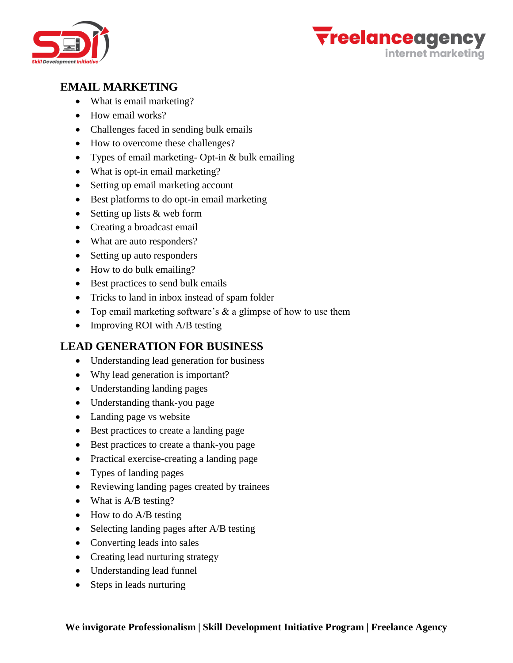



## **EMAIL MARKETING**

- What is email marketing?
- How email works?
- Challenges faced in sending bulk emails
- How to overcome these challenges?
- Types of email marketing- Opt-in & bulk emailing
- What is opt-in email marketing?
- Setting up email marketing account
- Best platforms to do opt-in email marketing
- Setting up lists & web form
- Creating a broadcast email
- What are auto responders?
- Setting up auto responders
- How to do bulk emailing?
- Best practices to send bulk emails
- Tricks to land in inbox instead of spam folder
- Top email marketing software's  $\&$  a glimpse of how to use them
- Improving ROI with A/B testing

#### **LEAD GENERATION FOR BUSINESS**

- Understanding lead generation for business
- Why lead generation is important?
- Understanding landing pages
- Understanding thank-you page
- Landing page vs website
- Best practices to create a landing page
- Best practices to create a thank-you page
- Practical exercise-creating a landing page
- Types of landing pages
- Reviewing landing pages created by trainees
- What is A/B testing?
- How to do A/B testing
- Selecting landing pages after A/B testing
- Converting leads into sales
- Creating lead nurturing strategy
- Understanding lead funnel
- Steps in leads nurturing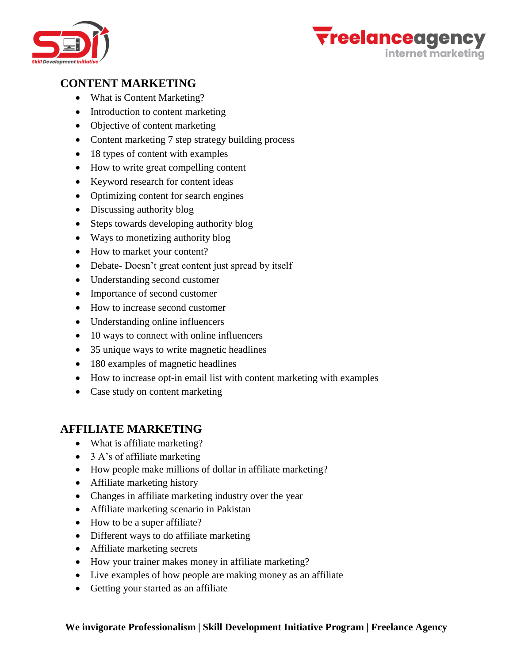



# **CONTENT MARKETING**

- What is Content Marketing?
- Introduction to content marketing
- Objective of content marketing
- Content marketing 7 step strategy building process
- 18 types of content with examples
- How to write great compelling content
- Keyword research for content ideas
- Optimizing content for search engines
- Discussing authority blog
- Steps towards developing authority blog
- Ways to monetizing authority blog
- How to market your content?
- Debate- Doesn't great content just spread by itself
- Understanding second customer
- Importance of second customer
- How to increase second customer
- Understanding online influencers
- 10 ways to connect with online influencers
- 35 unique ways to write magnetic headlines
- 180 examples of magnetic headlines
- How to increase opt-in email list with content marketing with examples
- Case study on content marketing

#### **AFFILIATE MARKETING**

- What is affiliate marketing?
- 3 A's of affiliate marketing
- How people make millions of dollar in affiliate marketing?
- Affiliate marketing history
- Changes in affiliate marketing industry over the year
- Affiliate marketing scenario in Pakistan
- How to be a super affiliate?
- Different ways to do affiliate marketing
- Affiliate marketing secrets
- How your trainer makes money in affiliate marketing?
- Live examples of how people are making money as an affiliate
- Getting your started as an affiliate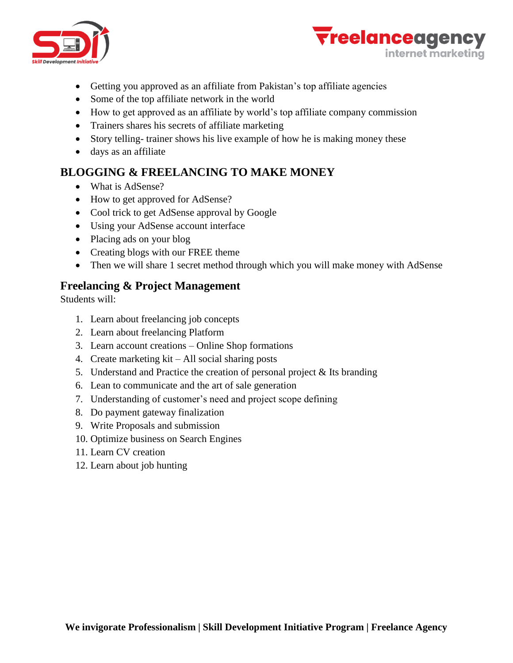



- Getting you approved as an affiliate from Pakistan's top affiliate agencies
- Some of the top affiliate network in the world
- How to get approved as an affiliate by world's top affiliate company commission
- Trainers shares his secrets of affiliate marketing
- Story telling- trainer shows his live example of how he is making money these
- days as an affiliate

# **BLOGGING & FREELANCING TO MAKE MONEY**

- What is AdSense?
- How to get approved for AdSense?
- Cool trick to get AdSense approval by Google
- Using your AdSense account interface
- Placing ads on your blog
- Creating blogs with our FREE theme
- Then we will share 1 secret method through which you will make money with AdSense

#### **Freelancing & Project Management**

Students will:

- 1. Learn about freelancing job concepts
- 2. Learn about freelancing Platform
- 3. Learn account creations Online Shop formations
- 4. Create marketing kit All social sharing posts
- 5. Understand and Practice the creation of personal project & Its branding
- 6. Lean to communicate and the art of sale generation
- 7. Understanding of customer's need and project scope defining
- 8. Do payment gateway finalization
- 9. Write Proposals and submission
- 10. Optimize business on Search Engines
- 11. Learn CV creation
- 12. Learn about job hunting